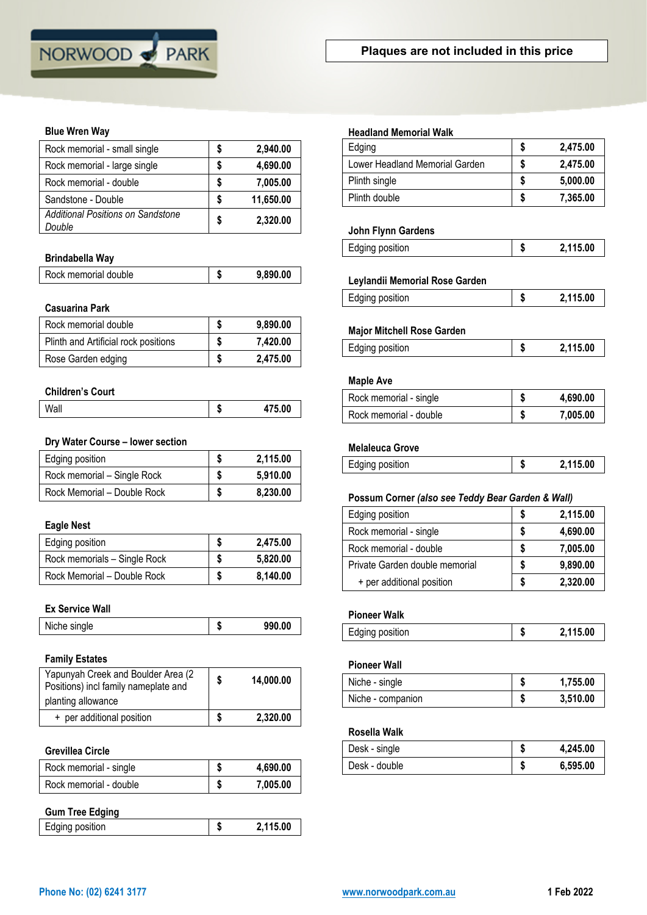

### **Blue Wren Way**

| Rock memorial - small single                       |   | 2,940.00  |
|----------------------------------------------------|---|-----------|
| Rock memorial - large single                       |   | 4,690.00  |
| Rock memorial - double                             | S | 7,005.00  |
| Sandstone - Double                                 | S | 11,650.00 |
| <b>Additional Positions on Sandstone</b><br>Double |   | 2,320.00  |

## **Brindabella Way**

| Rock memorial double | -11 | 9,890.00 |
|----------------------|-----|----------|
|                      |     |          |

### **Casuarina Park**

| Rock memorial double                 | 9.890.00 |
|--------------------------------------|----------|
| Plinth and Artificial rock positions | 7.420.00 |
| Rose Garden edging                   | 2.475.00 |

#### **Children's Court**

| Wall | - 0 | $\tau$ on<br>$\sim 00$ |
|------|-----|------------------------|

### **Dry Water Course – lower section**

| Edging position             | 2,115.00 |
|-----------------------------|----------|
| Rock memorial - Single Rock | 5.910.00 |
| Rock Memorial - Double Rock | 8.230.00 |

## **Eagle Nest**

| Edging position              |   | 2,475.00 |
|------------------------------|---|----------|
| Rock memorials - Single Rock | S | 5.820,00 |
| Rock Memorial - Double Rock  |   | 8,140.00 |

### **Ex Service Wall**

| Niche single | 990.00 |
|--------------|--------|
|              |        |

### **Family Estates**

| Yapunyah Creek and Boulder Area (2<br>Positions) incl family nameplate and | 14.000.00 |
|----------------------------------------------------------------------------|-----------|
| planting allowance                                                         |           |
| + per additional position                                                  | 2.320,00  |

### **Grevillea Circle**

| Rock memorial - single | 4,690.00 |
|------------------------|----------|
| Rock memorial - double | 7,005.00 |
| <b>Gum Tree Edging</b> |          |
| Edging position        | 2,115.00 |

| Edging                                               | \$ |
|------------------------------------------------------|----|
| Lower Headland Memorial Garden                       | \$ |
| Plinth single                                        | \$ |
| Plinth double                                        | \$ |
| John Flynn Gardens                                   |    |
| Edging position                                      | \$ |
| Leylandii Memorial Rose Garden                       |    |
| Edging position                                      | \$ |
|                                                      |    |
|                                                      |    |
| <b>Major Mitchell Rose Garden</b><br>Edging position | \$ |
| <b>Maple Ave</b>                                     |    |
| Rock memorial - single                               | \$ |

|  | Edging position | κП | 2,115.00 |
|--|-----------------|----|----------|
|--|-----------------|----|----------|

### **Possum Corner** *(also see Teddy Bear Garden & Wall)*

| Edging position                | S | 2,115.00 |
|--------------------------------|---|----------|
| Rock memorial - single         | S | 4,690.00 |
| Rock memorial - double         | S | 7,005.00 |
| Private Garden double memorial | S | 9,890.00 |
| + per additional position      | S | 2,320.00 |

# **Pioneer Walk**

| Edging position | 2,115.00 |
|-----------------|----------|
|                 |          |

## **Pioneer Wall**

| Niche - single    |   | 1,755.00 |
|-------------------|---|----------|
| Niche - companion | Æ | 3,510.00 |

### **Rosella Walk**

| Desk - single | Æ | 4,245.00 |
|---------------|---|----------|
| Desk - double | ш | 6,595.00 |